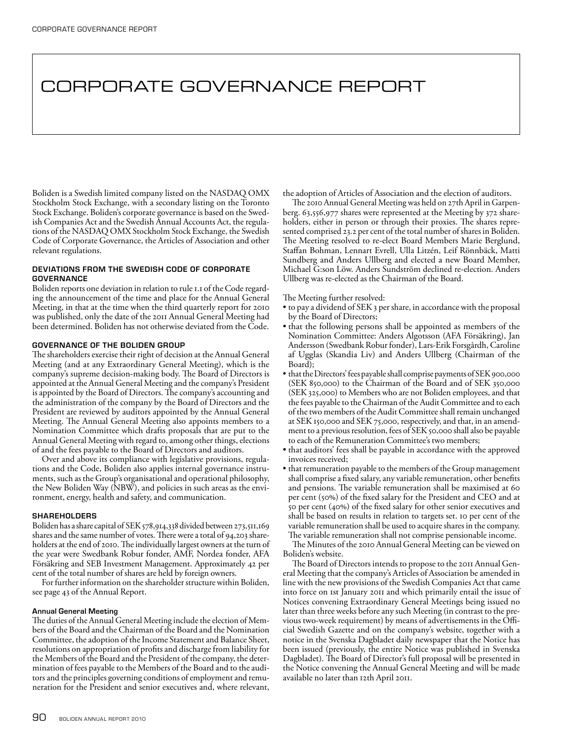# CORPORATE GOVERNANCE REPORT

Boliden is a Swedish limited company listed on the NASDAQ OMX Stockholm Stock Exchange, with a secondary listing on the Toronto Stock Exchange. Boliden's corporate governance is based on the Swedish Companies Act and the Swedish Annual Accounts Act, the regulations of the NASDAQ OMX Stockholm Stock Exchange, the Swedish Code of Corporate Governance, the Articles of Association and other relevant regulations.

# DEVIATIONS FROM THE SWEDISH CODE OF CORPORATE **GOVERNANCE**

Boliden reports one deviation in relation to rule 1.1 of the Code regarding the announcement of the time and place for the Annual General Meeting, in that at the time when the third quarterly report for 2010 was published, only the date of the 2011 Annual General Meeting had been determined. Boliden has not otherwise deviated from the Code.

## GOVERNANCE OF THE BOLIDEN GROUP

The shareholders exercise their right of decision at the Annual General Meeting (and at any Extraordinary General Meeting), which is the company's supreme decision-making body. The Board of Directors is appointed at the Annual General Meeting and the company's President is appointed by the Board of Directors. The company's accounting and the administration of the company by the Board of Directors and the President are reviewed by auditors appointed by the Annual General Meeting. The Annual General Meeting also appoints members to a Nomination Committee which drafts proposals that are put to the Annual General Meeting with regard to, among other things, elections of and the fees payable to the Board of Directors and auditors.

Over and above its compliance with legislative provisions, regulations and the Code, Boliden also applies internal governance instruments, such as the Group's organisational and operational philosophy, the New Boliden Way (NBW), and policies in such areas as the environment, energy, health and safety, and communication.

## **SHAREHOLDERS**

Boliden has a share capital of SEK 578,914,338 divided between 273,511,169 shares and the same number of votes. There were a total of 94,203 shareholders at the end of 2010. The individually largest owners at the turn of the year were Swedbank Robur fonder, AMF, Nordea fonder, AFA Försäkring and SEB Investment Management. Approximately 42 per cent of the total number of shares are held by foreign owners.

For further information on the shareholder structure within Boliden, see page 43 of the Annual Report.

## Annual General Meeting

The duties of the Annual General Meeting include the election of Members of the Board and the Chairman of the Board and the Nomination Committee, the adoption of the Income Statement and Balance Sheet, resolutions on appropriation of profits and discharge from liability for the Members of the Board and the President of the company, the determination of fees payable to the Members of the Board and to the auditors and the principles governing conditions of employment and remuneration for the President and senior executives and, where relevant,

the adoption of Articles of Association and the election of auditors.

The 2010 Annual General Meeting was held on 27th April in Garpenberg. 63,556,977 shares were represented at the Meeting by 372 shareholders, either in person or through their proxies. The shares represented comprised 23.2 per cent of the total number of shares in Boliden. The Meeting resolved to re-elect Board Members Marie Berglund, Staffan Bohman, Lennart Evrell, Ulla Litzén, Leif Rönnbäck, Matti Sundberg and Anders Ullberg and elected a new Board Member, Michael G:son Löw. Anders Sundström declined re-election. Anders Ullberg was re-elected as the Chairman of the Board.

#### The Meeting further resolved:

- to pay a dividend of SEK 3 per share, in accordance with the proposal by the Board of Directors;
- that the following persons shall be appointed as members of the Nomination Committee: Anders Algotsson (AFA Försäkring), Jan Andersson (Swedbank Robur fonder), Lars-Erik Forsgårdh, Caroline af Ugglas (Skandia Liv) and Anders Ullberg (Chairman of the Board);
- that the Directors' fees payable shall comprise payments of SEK 900,000 (SEK 850,000) to the Chairman of the Board and of SEK 350,000 (SEK 325,000) to Members who are not Boliden employees, and that the fees payable to the Chairman of the Audit Committee and to each of the two members of the Audit Committee shall remain unchanged at SEK 150,000 and SEK 75,000, respectively, and that, in an amendment to a previous resolution, fees of SEK 50,000 shall also be payable to each of the Remuneration Committee's two members;
- that auditors' fees shall be payable in accordance with the approved invoices received;
- that remuneration payable to the members of the Group management shall comprise a fixed salary, any variable remuneration, other benefits and pensions. The variable remuneration shall be maximised at 60 per cent (50%) of the fixed salary for the President and CEO and at 50 per cent (40%) of the fixed salary for other senior executives and shall be based on results in relation to targets set. 10 per cent of the variable remuneration shall be used to acquire shares in the company. The variable remuneration shall not comprise pensionable income.

The Minutes of the 2010 Annual General Meeting can be viewed on Boliden's website.

The Board of Directors intends to propose to the 2011 Annual General Meeting that the company's Articles of Association be amended in line with the new provisions of the Swedish Companies Act that came into force on 1st January 2011 and which primarily entail the issue of Notices convening Extraordinary General Meetings being issued no later than three weeks before any such Meeting (in contrast to the previous two-week requirement) by means of advertisements in the Official Swedish Gazette and on the company's website, together with a notice in the Svenska Dagbladet daily newspaper that the Notice has been issued (previously, the entire Notice was published in Svenska Dagbladet). The Board of Director's full proposal will be presented in the Notice convening the Annual General Meeting and will be made available no later than 12th April 2011.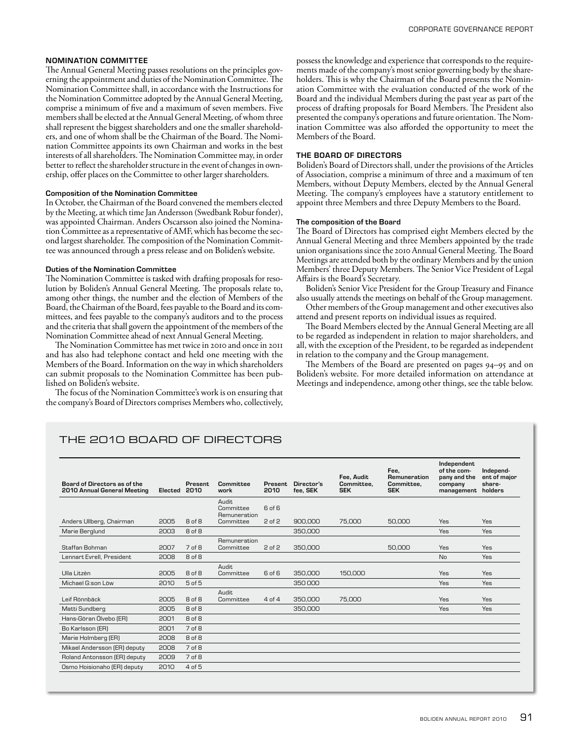#### NOMINATION COMMITTEE

The Annual General Meeting passes resolutions on the principles governing the appointment and duties of the Nomination Committee. The Nomination Committee shall, in accordance with the Instructions for the Nomination Committee adopted by the Annual General Meeting, comprise a minimum of five and a maximum of seven members. Five members shall be elected at the Annual General Meeting, of whom three shall represent the biggest shareholders and one the smaller shareholders, and one of whom shall be the Chairman of the Board. The Nomination Committee appoints its own Chairman and works in the best interests of all shareholders. The Nomination Committee may, in order better to reflect the shareholder structure in the event of changes in ownership, offer places on the Committee to other larger shareholders.

#### Composition of the Nomination Committee

In October, the Chairman of the Board convened the members elected by the Meeting, at which time Jan Andersson (Swedbank Robur fonder), was appointed Chairman. Anders Oscarsson also joined the Nomination Committee as a representative of AMF, which has become the second largest shareholder. The composition of the Nomination Committee was announced through a press release and on Boliden's website.

#### Duties of the Nomination Committee

The Nomination Committee is tasked with drafting proposals for resolution by Boliden's Annual General Meeting. The proposals relate to, among other things, the number and the election of Members of the Board, the Chairman of the Board, fees payable to the Board and its committees, and fees payable to the company's auditors and to the process and the criteria that shall govern the appointment of the members of the Nomination Committee ahead of next Annual General Meeting.

The Nomination Committee has met twice in 2010 and once in 2011 and has also had telephone contact and held one meeting with the Members of the Board. Information on the way in which shareholders can submit proposals to the Nomination Committee has been published on Boliden's website.

The focus of the Nomination Committee's work is on ensuring that the company's Board of Directors comprises Members who, collectively,

possess the knowledge and experience that corresponds to the requirements made of the company's most senior governing body by the shareholders. This is why the Chairman of the Board presents the Nomination Committee with the evaluation conducted of the work of the Board and the individual Members during the past year as part of the process of drafting proposals for Board Members. The President also presented the company's operations and future orientation. The Nomination Committee was also afforded the opportunity to meet the Members of the Board.

## THE BOARD OF DIRECTORS

Boliden's Board of Directors shall, under the provisions of the Articles of Association, comprise a minimum of three and a maximum of ten Members, without Deputy Members, elected by the Annual General Meeting. The company's employees have a statutory entitlement to appoint three Members and three Deputy Members to the Board.

#### The composition of the Board

The Board of Directors has comprised eight Members elected by the Annual General Meeting and three Members appointed by the trade union organisations since the 2010 Annual General Meeting. The Board Meetings are attended both by the ordinary Members and by the union Members' three Deputy Members. The Senior Vice President of Legal Affairs is the Board's Secretary.

Boliden's Senior Vice President for the Group Treasury and Finance also usually attends the meetings on behalf of the Group management.

Other members of the Group management and other executives also attend and present reports on individual issues as required.

The Board Members elected by the Annual General Meeting are all to be regarded as independent in relation to major shareholders, and all, with the exception of the President, to be regarded as independent in relation to the company and the Group management.

The Members of the Board are presented on pages 94–95 and on Boliden's website. For more detailed information on attendance at Meetings and independence, among other things, see the table below.

# THE 2010 BOARD OF DIRECTORS

| Board of Directors as of the<br>2010 Annual General Meeting | Elected | Present.<br>2010  | Committee<br>work                  | Present.<br>2010 | Director's<br>fee. SEK | Fee, Audit<br>Committee,<br><b>SEK</b> | Fee.<br>Remuneration<br>Committee.<br><b>SEK</b> | Independent<br>of the com-<br>pany and the<br>company<br>management | Independ-<br>ent of major<br>share-<br>holders |
|-------------------------------------------------------------|---------|-------------------|------------------------------------|------------------|------------------------|----------------------------------------|--------------------------------------------------|---------------------------------------------------------------------|------------------------------------------------|
|                                                             |         |                   | Audit<br>Committee<br>Remuneration | 6 of 6           |                        |                                        |                                                  |                                                                     |                                                |
| Anders Ullberg, Chairman                                    | 2005    | 8 of 8            | Committee                          | $2$ of $2$       | 900,000                | 75,000                                 | 50,000                                           | Yes                                                                 | Yes                                            |
| Marie Berglund                                              | 2003    | 8 of 8            |                                    |                  | 350,000                |                                        |                                                  | Yes                                                                 | Yes                                            |
| Staffan Bohman                                              | 2007    | 7 <sub>of</sub> 8 | Remuneration<br>Committee          | 2 of 2           | 350,000                |                                        | 50,000                                           | Yes                                                                 | Yes                                            |
| Lennart Evrell, President                                   | 2008    | 8 of 8            |                                    |                  |                        |                                        |                                                  | No                                                                  | Yes                                            |
| Ulla Litzén                                                 | 2005    | 8 of 8            | Audit<br>Committee                 | 6 of 6           | 350,000                | 150,000                                |                                                  | Yes                                                                 | Yes                                            |
| Michael G:son Löw                                           | 2010    | 5 of 5            |                                    |                  | 350000                 |                                        |                                                  | Yes                                                                 | Yes                                            |
| Leif Rönnbäck                                               | 2005    | 8 <sub>of</sub> 8 | Audit<br>Committee                 | 4 of 4           | 350.000                | 75,000                                 |                                                  | Yes                                                                 | Yes                                            |
| Matti Sundberg                                              | 2005    | 8 of 8            |                                    |                  | 350,000                |                                        |                                                  | Yes                                                                 | Yes                                            |
| Hans-Göran Ölvebo (ER)                                      | 2001    | 8 of 8            |                                    |                  |                        |                                        |                                                  |                                                                     |                                                |
| Bo Karlsson (ER)                                            | 2001    | 7 of 8            |                                    |                  |                        |                                        |                                                  |                                                                     |                                                |
| Marie Holmberg (ER)                                         | 2008    | 8 of 8            |                                    |                  |                        |                                        |                                                  |                                                                     |                                                |
| Mikael Andersson (ER) deputy                                | 2008    | 7 of 8            |                                    |                  |                        |                                        |                                                  |                                                                     |                                                |
| Roland Antonsson (ER) deputy                                | 2009    | 7 of 8            |                                    |                  |                        |                                        |                                                  |                                                                     |                                                |
| Osmo Hoisionaho (ER) deputy                                 | 2010    | 4 of 5            |                                    |                  |                        |                                        |                                                  |                                                                     |                                                |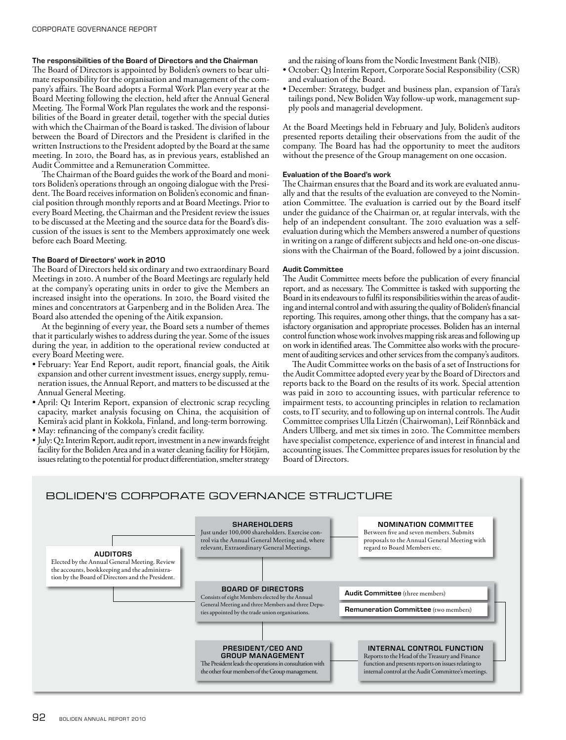# The responsibilities of the Board of Directors and the Chairman

The Board of Directors is appointed by Boliden's owners to bear ultimate responsibility for the organisation and management of the company's affairs. The Board adopts a Formal Work Plan every year at the Board Meeting following the election, held after the Annual General Meeting. The Formal Work Plan regulates the work and the responsibilities of the Board in greater detail, together with the special duties with which the Chairman of the Board is tasked. The division of labour between the Board of Directors and the President is clarified in the written Instructions to the President adopted by the Board at the same meeting. In 2010, the Board has, as in previous years, established an Audit Committee and a Remuneration Committee.

The Chairman of the Board guides the work of the Board and monitors Boliden's operations through an ongoing dialogue with the President. The Board receives information on Boliden's economic and financial position through monthly reports and at Board Meetings. Prior to every Board Meeting, the Chairman and the President review the issues to be discussed at the Meeting and the source data for the Board's discussion of the issues is sent to the Members approximately one week before each Board Meeting.

# The Board of Directors' work in 2010

The Board of Directors held six ordinary and two extraordinary Board Meetings in 2010. A number of the Board Meetings are regularly held at the company's operating units in order to give the Members an increased insight into the operations. In 2010, the Board visited the mines and concentrators at Garpenberg and in the Boliden Area. The Board also attended the opening of the Aitik expansion.

At the beginning of every year, the Board sets a number of themes that it particularly wishes to address during the year. Some of the issues during the year, in addition to the operational review conducted at every Board Meeting were.

- February: Year End Report, audit report, financial goals, the Aitik expansion and other current investment issues, energy supply, remuneration issues, the Annual Report, and matters to be discussed at the Annual General Meeting.
- April: Q1 Interim Report, expansion of electronic scrap recycling capacity, market analysis focusing on China, the acquisition of Kemira's acid plant in Kokkola, Finland, and long-term borrowing.
- May: refinancing of the company's credit facility.
- July: Q2 Interim Report, audit report, investment in a new inwards freight facility for the Boliden Area and in a water cleaning facility for Hötjärn, issues relating to the potential for product differentiation, smelter strategy

and the raising of loans from the Nordic Investment Bank (NIB).

- October: Q3 Interim Report, Corporate Social Responsibility (CSR) and evaluation of the Board.
- • December: Strategy, budget and business plan, expansion of Tara's tailings pond, New Boliden Way follow-up work, management supply pools and managerial development.

At the Board Meetings held in February and July, Boliden's auditors presented reports detailing their observations from the audit of the company. The Board has had the opportunity to meet the auditors without the presence of the Group management on one occasion.

#### Evaluation of the Board's work

The Chairman ensures that the Board and its work are evaluated annually and that the results of the evaluation are conveyed to the Nomination Committee. The evaluation is carried out by the Board itself under the guidance of the Chairman or, at regular intervals, with the help of an independent consultant. The 2010 evaluation was a selfevaluation during which the Members answered a number of questions in writing on a range of different subjects and held one-on-one discussions with the Chairman of the Board, followed by a joint discussion.

#### Audit Committee

The Audit Committee meets before the publication of every financial report, and as necessary. The Committee is tasked with supporting the Board in its endeavours to fulfil its responsibilities within the areas of auditing and internal control and with assuring the quality of Boliden's financial reporting. This requires, among other things, that the company has a satisfactory organisation and appropriate processes. Boliden has an internal control function whose work involves mapping risk areas and following up on work in identified areas. The Committee also works with the procurement of auditing services and other services from the company's auditors.

The Audit Committee works on the basis of a set of Instructions for the Audit Committee adopted every year by the Board of Directors and reports back to the Board on the results of its work. Special attention was paid in 2010 to accounting issues, with particular reference to impairment tests, to accounting principles in relation to reclamation costs, to IT security, and to following up on internal controls. The Audit Committee comprises Ulla Litzén (Chairwoman), Leif Rönnbäck and Anders Ullberg, and met six times in 2010. The Committee members have specialist competence, experience of and interest in financial and accounting issues. The Committee prepares issues for resolution by the Board of Directors.

# BOLIDEN'S CORPORATE GOVERNANCE STRUCTURE